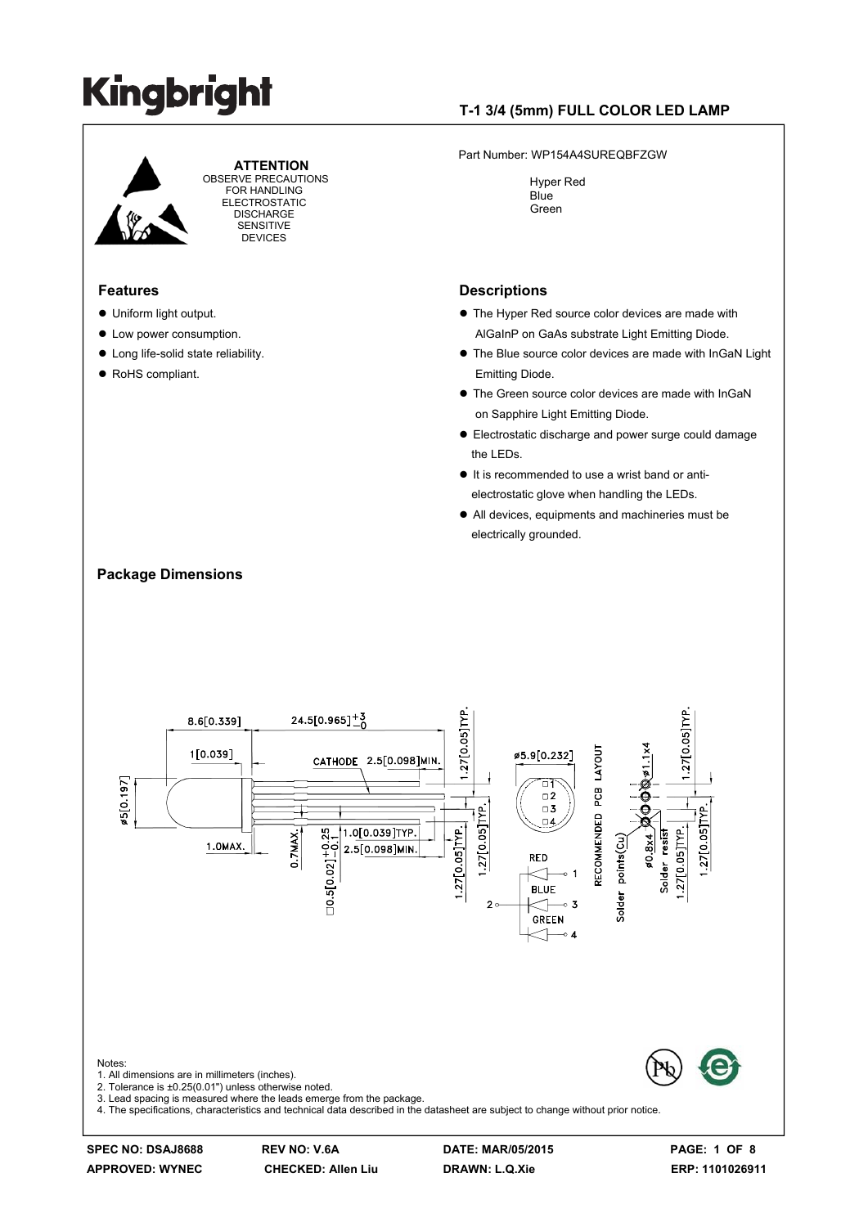

 **ATTENTION** OBSERVE PRECAUTIONS FOR HANDLING ELECTROSTATIC DISCHARGE SENSITIVE **DEVICES** 

#### **Features**

- Uniform light output.
- Low power consumption.
- $\bullet$  Long life-solid state reliability.
- RoHS compliant.

### **T-1 3/4 (5mm) FULL COLOR LED LAMP**

Part Number: WP154A4SUREQBFZGW

 Hyper Red Blue Green

#### **Descriptions**

- $\bullet$  The Hyper Red source color devices are made with AlGaInP on GaAs substrate Light Emitting Diode.
- $\bullet$  The Blue source color devices are made with InGaN Light Emitting Diode.
- $\bullet$  The Green source color devices are made with InGaN on Sapphire Light Emitting Diode.
- Electrostatic discharge and power surge could damage the LEDs.
- It is recommended to use a wrist band or antielectrostatic glove when handling the LEDs.
- All devices, equipments and machineries must be electrically grounded.



### **APPROVED: WYNEC CHECKED: Allen Liu DRAWN: L.Q.Xie ERP: 1101026911**

**SPEC NO: DSAJ8688 REV NO: V.6A DATE: MAR/05/2015 PAGE: 1 OF 8** 

#### **Package Dimensions**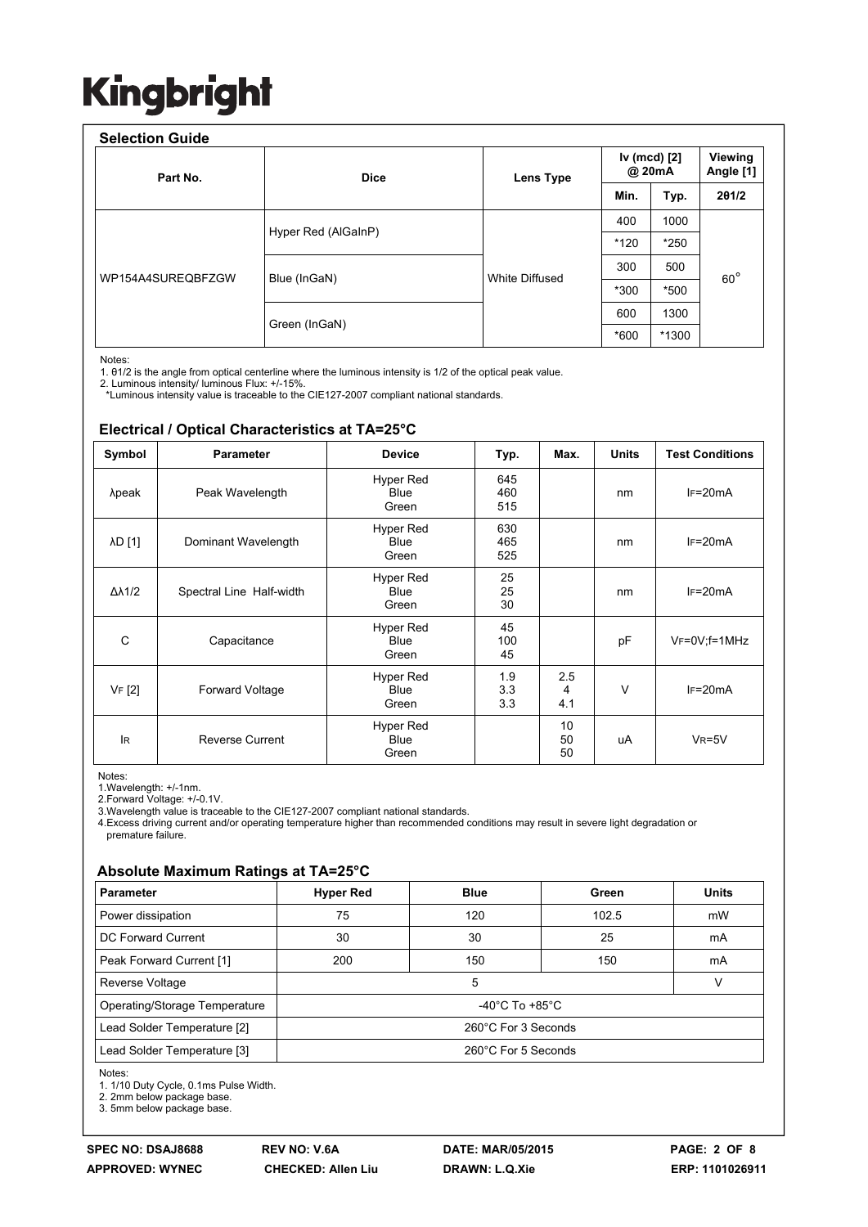| <b>Selection Guide</b><br>Part No. | <b>Dice</b>         | Lens Type      | Iv (mcd) [2]<br>@ 20mA |        | Viewing<br>Angle [1] |
|------------------------------------|---------------------|----------------|------------------------|--------|----------------------|
|                                    |                     |                | Min.                   | Typ.   | 201/2                |
| WP154A4SUREQBFZGW                  | Hyper Red (AlGaInP) | White Diffused | 400                    | 1000   | $60^\circ$           |
|                                    |                     |                | *120                   | $*250$ |                      |
|                                    | Blue (InGaN)        |                | 300                    | 500    |                      |
|                                    |                     |                | *300                   | *500   |                      |
|                                    | Green (InGaN)       |                | 600                    | 1300   |                      |
|                                    |                     |                | *600                   | *1300  |                      |

Notes:

1. θ1/2 is the angle from optical centerline where the luminous intensity is 1/2 of the optical peak value.

2. Luminous intensity/ luminous Flux: +/-15%.

\*Luminous intensity value is traceable to the CIE127-2007 compliant national standards.

#### **Electrical / Optical Characteristics at TA=25°C**

| Symbol              | <b>Parameter</b>         | <b>Device</b>                            | Typ.              |                 | <b>Units</b> | <b>Test Conditions</b> |  |
|---------------------|--------------------------|------------------------------------------|-------------------|-----------------|--------------|------------------------|--|
| λpeak               | Peak Wavelength          | Hyper Red<br><b>Blue</b><br>Green        | 645<br>460<br>515 |                 | nm           | $IF=20mA$              |  |
| λD [1]              | Dominant Wavelength      | <b>Hyper Red</b><br><b>Blue</b><br>Green | 630<br>465<br>525 |                 | nm           | $IF=20mA$              |  |
| $\Delta\lambda$ 1/2 | Spectral Line Half-width | <b>Hyper Red</b><br><b>Blue</b><br>Green | 25<br>25<br>30    |                 | nm           | $IF=20mA$              |  |
| C                   | Capacitance              | Hyper Red<br><b>Blue</b><br>Green        | 45<br>100<br>45   |                 | pF           | $V_F = 0V$ ; f=1MHz    |  |
| VF [2]              | Forward Voltage          | <b>Hyper Red</b><br><b>Blue</b><br>Green | 1.9<br>3.3<br>3.3 | 2.5<br>4<br>4.1 | $\vee$       | $IF=20mA$              |  |
| <b>IR</b>           | <b>Reverse Current</b>   | Hyper Red<br><b>Blue</b><br>Green        |                   | 10<br>50<br>50  | uA           | $V_R = 5V$             |  |

Notes:

1.Wavelength: +/-1nm.

2.Forward Voltage: +/-0.1V.

3.Wavelength value is traceable to the CIE127-2007 compliant national standards.

4.Excess driving current and/or operating temperature higher than recommended conditions may result in severe light degradation or premature failure.

#### **Absolute Maximum Ratings at TA=25°C**

| <b>Parameter</b>              | <b>Hyper Red</b>                     | <b>Blue</b> | Green | <b>Units</b> |  |  |
|-------------------------------|--------------------------------------|-------------|-------|--------------|--|--|
| Power dissipation             | 75                                   | 120         | 102.5 | mW           |  |  |
| DC Forward Current            | 30                                   | 30          | 25    | mA           |  |  |
| Peak Forward Current [1]      | 200                                  | 150         | 150   | mA           |  |  |
| Reverse Voltage               | 5<br>v                               |             |       |              |  |  |
| Operating/Storage Temperature | -40 $^{\circ}$ C To +85 $^{\circ}$ C |             |       |              |  |  |
| Lead Solder Temperature [2]   | 260°C For 3 Seconds                  |             |       |              |  |  |
| Lead Solder Temperature [3]   | 260°C For 5 Seconds                  |             |       |              |  |  |

Notes:

1. 1/10 Duty Cycle, 0.1ms Pulse Width.

2. 2mm below package base.

3. 5mm below package base.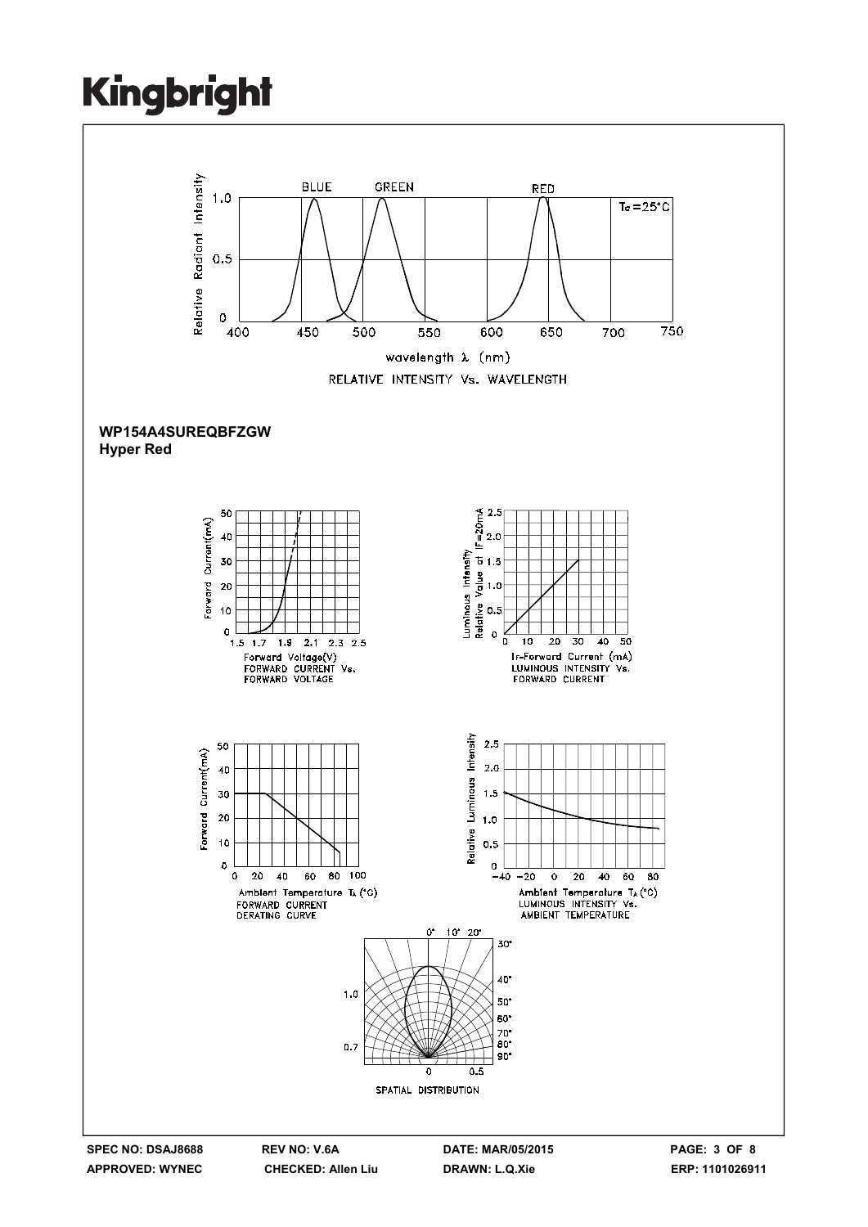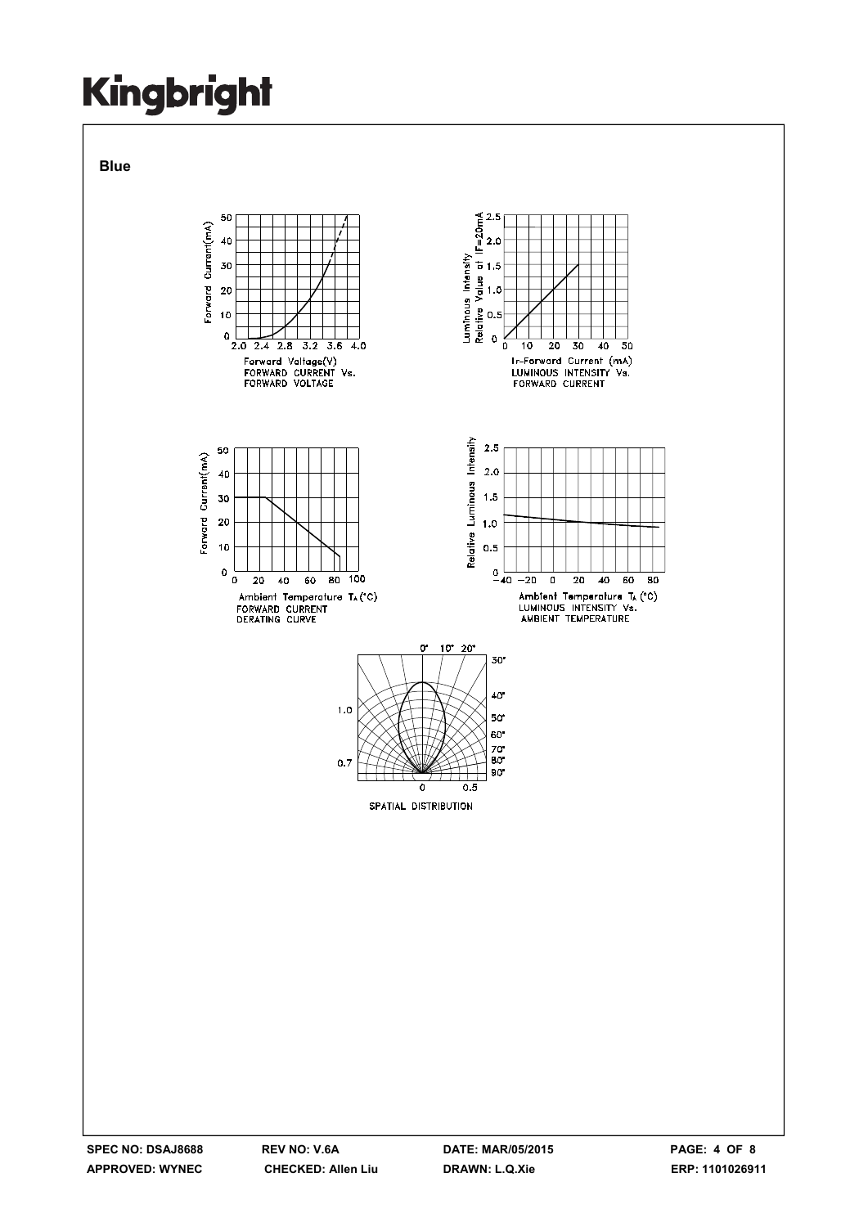**Blue** 

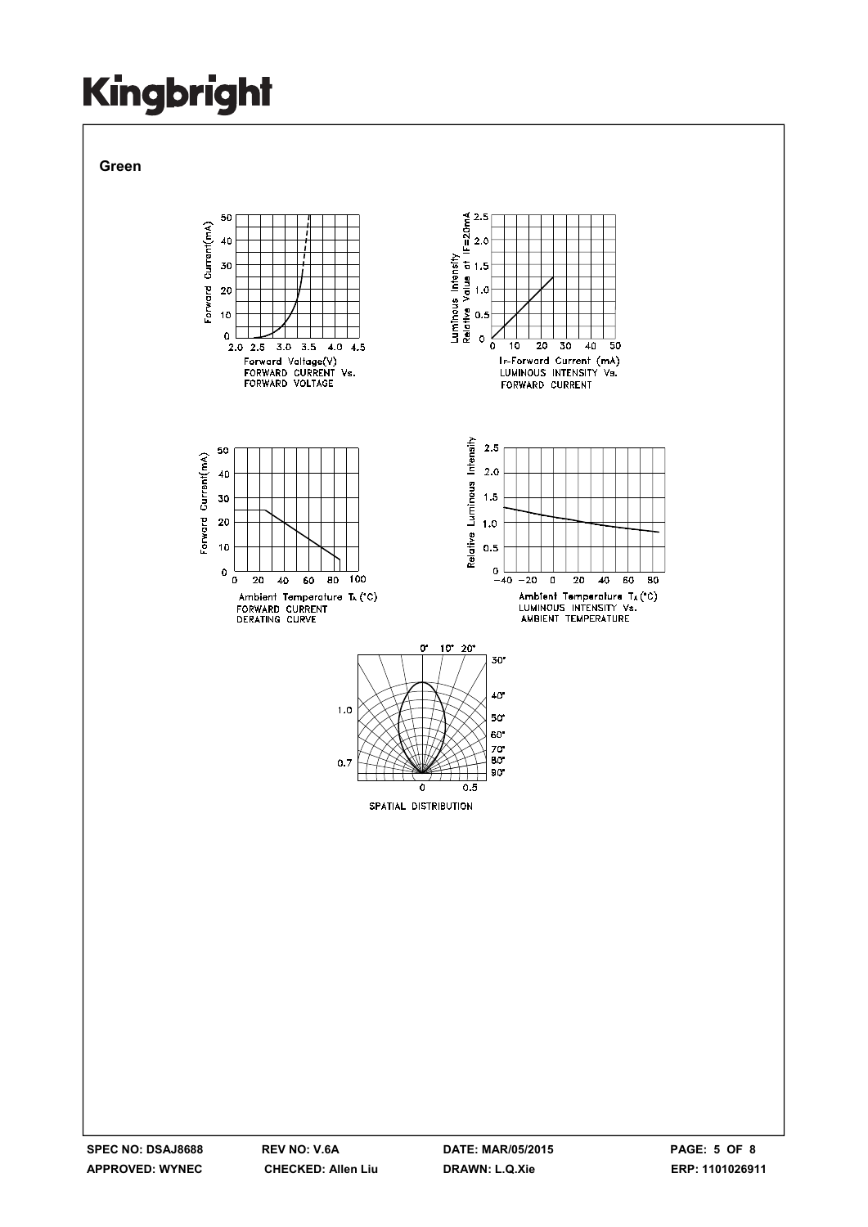**Green** 

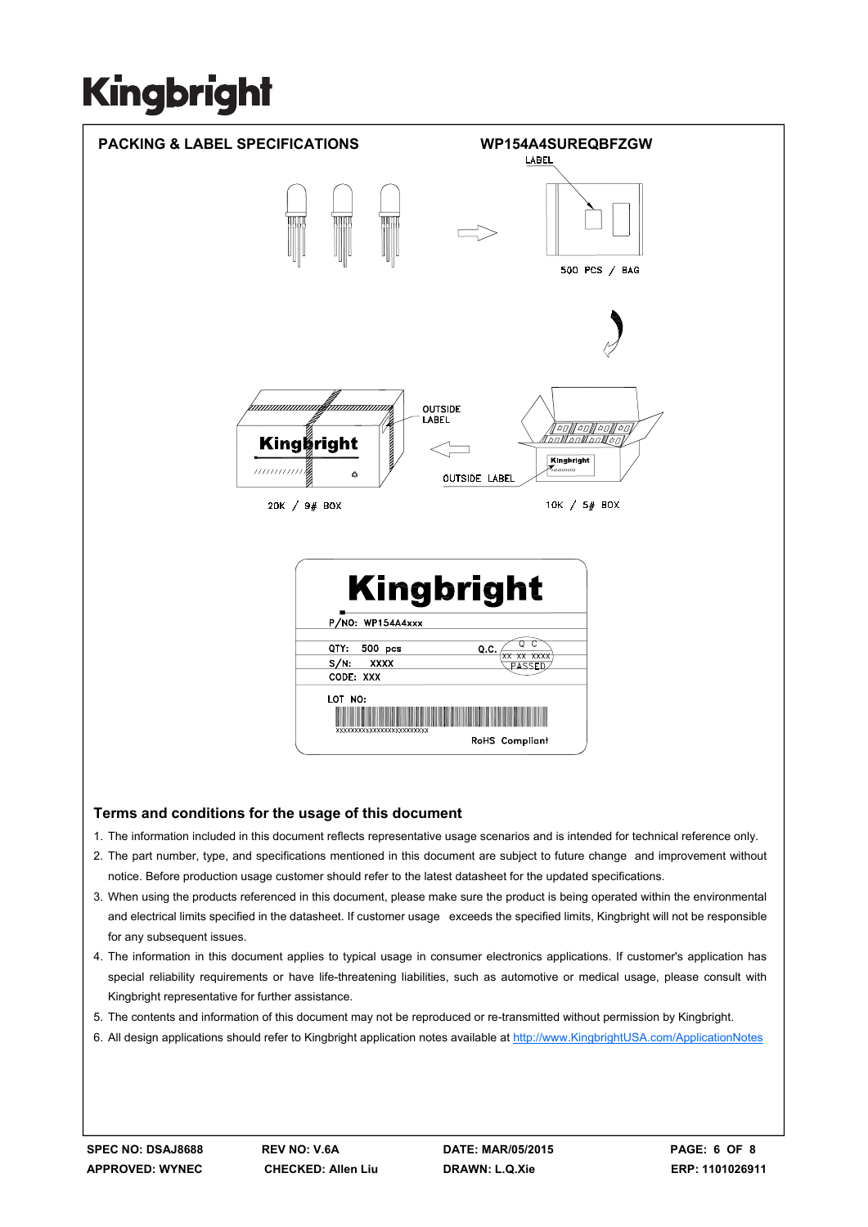

### **Terms and conditions for the usage of this document**

- 1. The information included in this document reflects representative usage scenarios and is intended for technical reference only.
- 2. The part number, type, and specifications mentioned in this document are subject to future change and improvement without notice. Before production usage customer should refer to the latest datasheet for the updated specifications.
- 3. When using the products referenced in this document, please make sure the product is being operated within the environmental and electrical limits specified in the datasheet. If customer usage exceeds the specified limits, Kingbright will not be responsible for any subsequent issues.
- 4. The information in this document applies to typical usage in consumer electronics applications. If customer's application has special reliability requirements or have life-threatening liabilities, such as automotive or medical usage, please consult with Kingbright representative for further assistance.
- 5. The contents and information of this document may not be reproduced or re-transmitted without permission by Kingbright.
- 6. All design applications should refer to Kingbright application notes available at http://www.KingbrightUSA.com/ApplicationNotes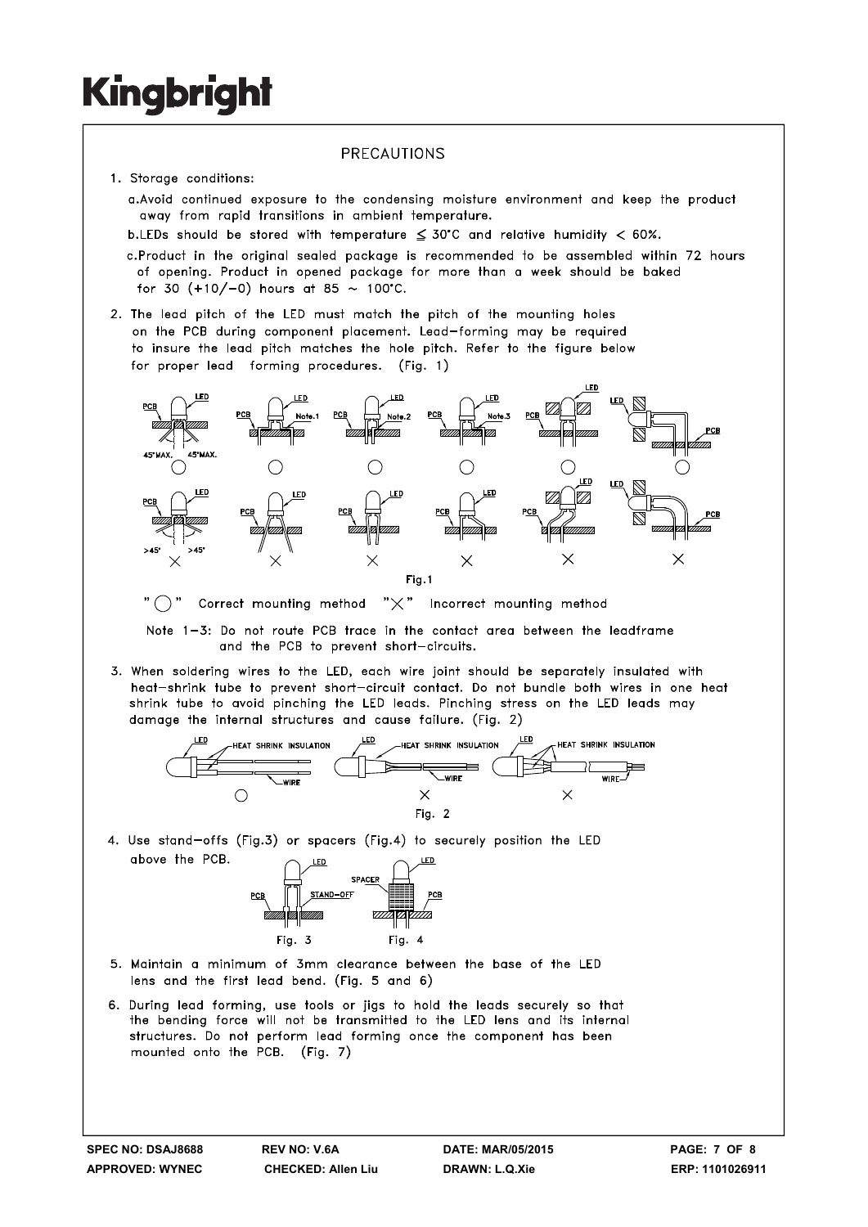### PRECAUTIONS

- 1. Storage conditions:
	- a. Avoid continued exposure to the condensing moisture environment and keep the product away from rapid transitions in ambient temperature.
	- b.LEDs should be stored with temperature  $\leq 30^{\circ}$ C and relative humidity < 60%.
	- c.Product in the original sealed package is recommended to be assembled within 72 hours of opening. Product in opened package for more than a week should be baked for 30  $(+10/-0)$  hours at 85 ~ 100°C.
- 2. The lead pitch of the LED must match the pitch of the mounting holes on the PCB during component placement. Lead-forming may be required to insure the lead pitch matches the hole pitch. Refer to the figure below for proper lead forming procedures. (Fig. 1)



"  $\bigcap$  " Correct mounting method " $\times$ " Incorrect mounting method

Note 1-3: Do not route PCB trace in the contact area between the leadframe and the PCB to prevent short-circuits.

3. When soldering wires to the LED, each wire joint should be separately insulated with heat-shrink tube to prevent short-circuit contact. Do not bundle both wires in one heat shrink tube to avoid pinching the LED leads. Pinching stress on the LED leads may damage the internal structures and cause failure. (Fig. 2)



4. Use stand-offs (Fig.3) or spacers (Fig.4) to securely position the LED above the PCB.



- 5. Maintain a minimum of 3mm clearance between the base of the LED lens and the first lead bend. (Fig. 5 and 6)
- 6. During lead forming, use tools or jigs to hold the leads securely so that the bending force will not be transmitted to the LED lens and its internal structures. Do not perform lead forming once the component has been mounted onto the PCB. (Fig. 7)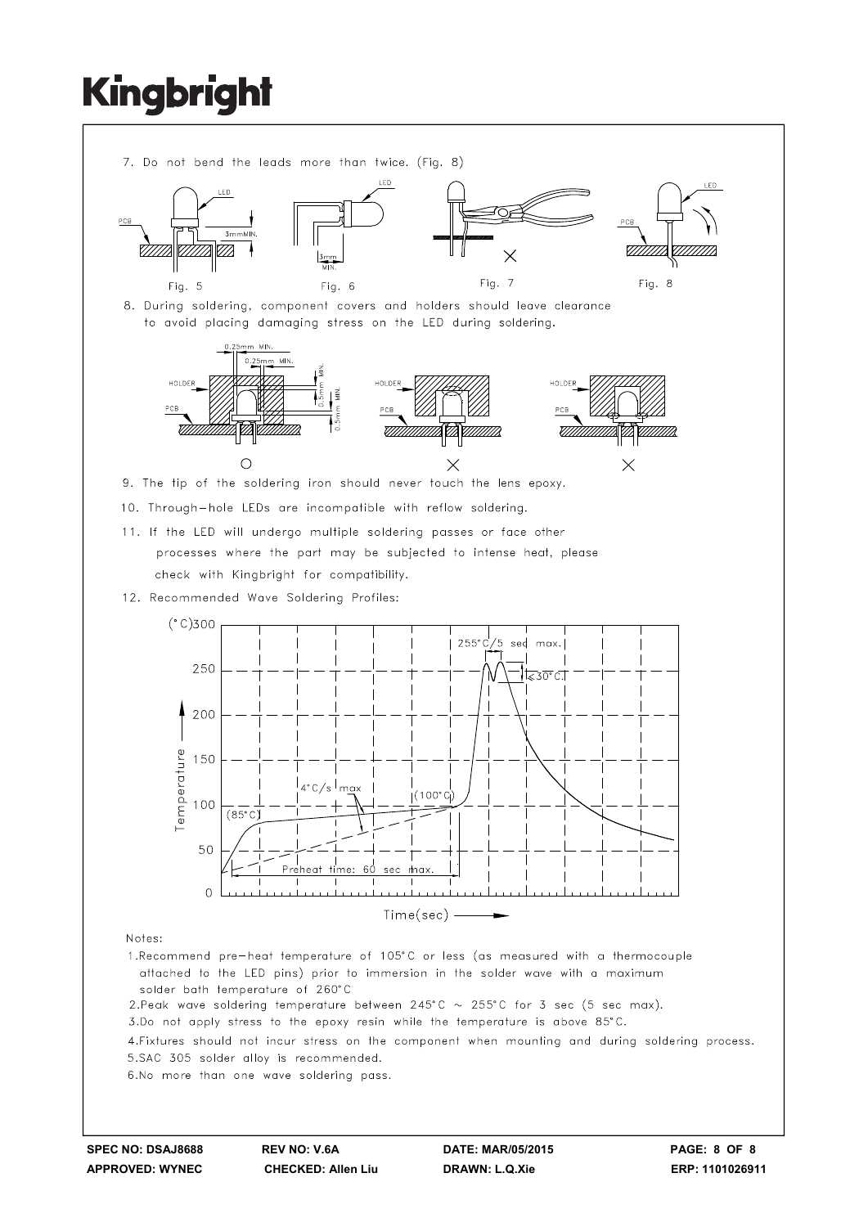

- solder bath temperature of 260°C
- 2. Peak wave soldering temperature between 245°C  $\sim$  255°C for 3 sec (5 sec max).
- 3.Do not apply stress to the epoxy resin while the temperature is above 85°C.

4. Fixtures should not incur stress on the component when mounting and during soldering process. 5.SAC 305 solder alloy is recommended.

6.No more than one wave soldering pass.

**SPEC NO: DSAJ8688 REV NO: V.6A DATE: MAR/05/2015 PAGE: 8 OF 8**